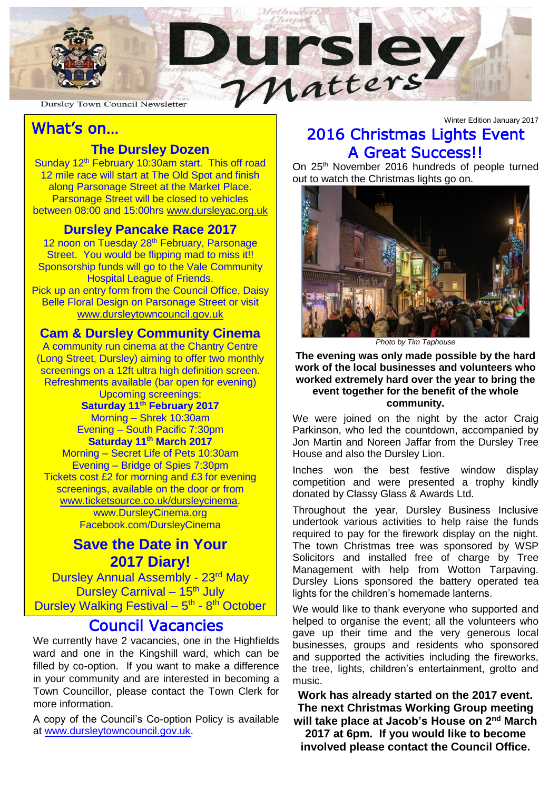

#### **Dursley Town Council Newsletter**

### What's on…

### **The Dursley Dozen**

i<br>I

 12 mile race will start at The Old Spot and finish along Parsonage Street at the Market Place<br>Parsonage Street will be closed to vehicles between 08:00 and 15:00hrs [www.dursleyac.org.uk](http://www.dursleyac.org.uk/) Sunday  $12<sup>th</sup>$  February 10:30am start. This off road along Parsonage Street at the Market Place.

### **Dursley Pancake Race 2017**

12 noon on Tuesday 28<sup>th</sup> February, Parsonage Street. You would be flipping mad to miss it!! Sponsorship funds will go to the Vale Community Hospital League of Friends. Pick up an entry form from the Council Office, Daisy Belle Floral Design on Parsonage Street or visit [www.dursleytowncouncil.gov.uk](http://www.dursleytowncouncil.gov.uk/)

### **Cam & Dursley Community Cinema**

 **Saturday 11th February 2017** Morning – Shrek 10:30am **Saturday 11th March 2017** Morning – Secret Life of Pets 10:30am A community run cinema at the Chantry Centre (Long Street, Dursley) aiming to offer two monthly screenings on a 12ft ultra high definition screen. Refreshments available (bar open for evening) Upcoming screenings: Evening – South Pacific 7:30pm Evening – Bridge of Spies 7:30pm Tickets cost £2 for morning and £3 for evening screenings, available on the door or from [www.ticketsource.co.uk/dursleycinema.](http://www.ticketsource.co.uk/dursleycinema) [www.DursleyCinema.org](http://www.dursleycinema.org/)

Facebook.com/DursleyCinema

### **Save the Date in Your 2017 Diary!**

Dursley Annual Assembly - 23rd May Dursley Carnival – 15<sup>th</sup> July Dursley Walking Festival - 5<sup>th</sup> - 8<sup>th</sup> October

## Council Vacancies

We currently have 2 vacancies, one in the Highfields ward and one in the Kingshill ward, which can be filled by co-option. If you want to make a difference in your community and are interested in becoming a Town Councillor, please contact the Town Clerk for more information.

A copy of the Council's Co-option Policy is available at [www.dursleytowncouncil.gov.uk.](http://www.dursleytowncouncil.gov.uk/)

### Winter Edition January 2017 2016 Christmas Lights Event A Great Success!!

On 25<sup>th</sup> November 2016 hundreds of people turned out to watch the Christmas lights go on.



*Photo by Tim Taphouse*

#### **The evening was only made possible by the hard work of the local businesses and volunteers who worked extremely hard over the year to bring the event together for the benefit of the whole community.**

We were joined on the night by the actor Craig Parkinson, who led the countdown, accompanied by Jon Martin and Noreen Jaffar from the Dursley Tree House and also the Dursley Lion.

Inches won the best festive window display competition and were presented a trophy kindly donated by Classy Glass & Awards Ltd.

Throughout the year, Dursley Business Inclusive undertook various activities to help raise the funds required to pay for the firework display on the night. The town Christmas tree was sponsored by WSP Solicitors and installed free of charge by Tree Management with help from Wotton Tarpaving. Dursley Lions sponsored the battery operated tea lights for the children's homemade lanterns.

We would like to thank everyone who supported and helped to organise the event; all the volunteers who gave up their time and the very generous local businesses, groups and residents who sponsored and supported the activities including the fireworks, the tree, lights, children's entertainment, grotto and music.

**Work has already started on the 2017 event. The next Christmas Working Group meeting**  will take place at Jacob's House on 2<sup>nd</sup> March

**2017 at 6pm. If you would like to become involved please contact the Council Office.**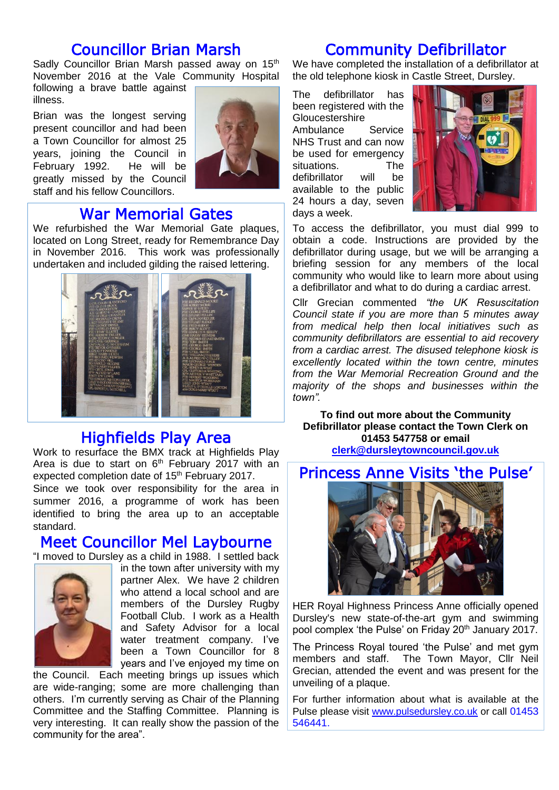## Councillor Brian Marsh

Sadly Councillor Brian Marsh passed away on 15<sup>th</sup> November 2016 at the Vale Community Hospital

following a brave battle against illness.

Brian was the longest serving present councillor and had been a Town Councillor for almost 25 years, joining the Council in February 1992. He will be greatly missed by the Council staff and his fellow Councillors.



## War Memorial Gates

We refurbished the War Memorial Gate plaques, located on Long Street, ready for Remembrance Day in November 2016. This work was professionally undertaken and included gilding the raised lettering.



# Highfields Play Area

Work to resurface the BMX track at Highfields Play Area is due to start on  $6<sup>th</sup>$  February 2017 with an expected completion date of 15<sup>th</sup> February 2017. Since we took over responsibility for the area in summer 2016, a programme of work has been identified to bring the area up to an acceptable standard.

### Meet Councillor Mel Laybourne

"I moved to Dursley as a child in 1988. I settled back



in the town after university with my partner Alex. We have 2 children who attend a local school and are members of the Dursley Rugby Football Club. I work as a Health and Safety Advisor for a local water treatment company. I've been a Town Councillor for 8 years and I've enjoyed my time on

the Council. Each meeting brings up issues which are wide-ranging; some are more challenging than others. I'm currently serving as Chair of the Planning Committee and the Staffing Committee. Planning is very interesting. It can really show the passion of the community for the area".

# Community Defibrillator

We have completed the installation of a defibrillator at the old telephone kiosk in Castle Street, Dursley.

The defibrillator has been registered with the **Gloucestershire** Ambulance Service NHS Trust and can now be used for emergency situations. The defibrillator will be available to the public 24 hours a day, seven days a week.



To access the defibrillator, you must dial 999 to obtain a code. Instructions are provided by the defibrillator during usage, but we will be arranging a briefing session for any members of the local community who would like to learn more about using a defibrillator and what to do during a cardiac arrest.

Cllr Grecian commented *"the UK Resuscitation Council state if you are more than 5 minutes away from medical help then local initiatives such as community defibrillators are essential to aid recovery from a cardiac arrest. The disused telephone kiosk is excellently located within the town centre, minutes from the War Memorial Recreation Ground and the majority of the shops and businesses within the town".*

**To find out more about the Community Defibrillator please contact the Town Clerk on 01453 547758 or email [clerk@dursleytowncouncil.gov.uk](mailto:clerk@dursleytowncouncil.gov.uk)**

# Princess Anne Visits 'the Pulse'



HER Royal Highness Princess Anne officially opened Dursley's new state-of-the-art gym and swimming pool complex 'the Pulse' on Friday 20th January 2017.

The Princess Royal toured 'the Pulse' and met gym members and staff. The Town Mayor, Cllr Neil Grecian, attended the event and was present for the unveiling of a plaque.

For further information about what is available at the Pulse please visit [www.pulsedursley.co.uk](http://www.pulsedursley.co.uk/) or call 01453 546441.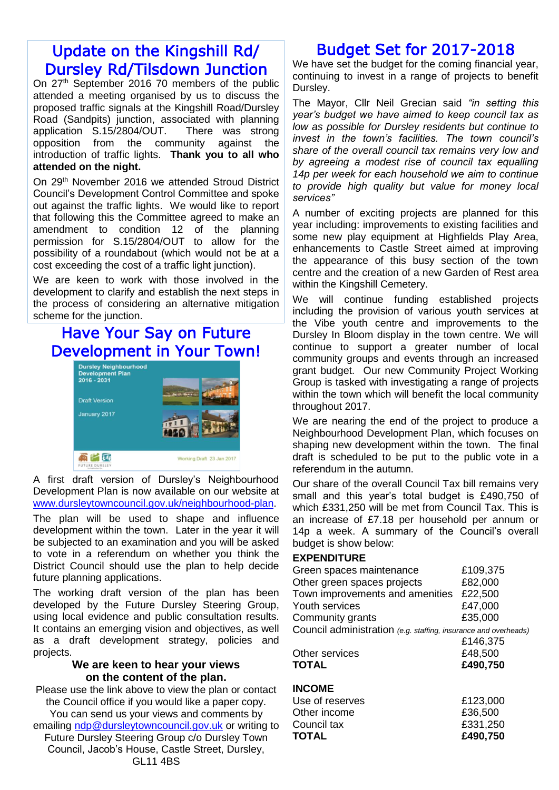# Update on the Kingshill Rd/ Dursley Rd/Tilsdown Junction

On 27<sup>th</sup> September 2016 70 members of the public attended a meeting organised by us to discuss the proposed traffic signals at the Kingshill Road/Dursley Road (Sandpits) junction, associated with planning application S.15/2804/OUT. There was strong opposition from the community against the introduction of traffic lights. **Thank you to all who attended on the night.**

On 29<sup>th</sup> November 2016 we attended Stroud District Council's Development Control Committee and spoke out against the traffic lights. We would like to report that following this the Committee agreed to make an amendment to condition 12 of the planning permission for S.15/2804/OUT to allow for the possibility of a roundabout (which would not be at a cost exceeding the cost of a traffic light junction).

We are keen to work with those involved in the development to clarify and establish the next steps in the process of considering an alternative mitigation scheme for the junction.

# Have Your Say on Future Development in Your Town!



A first draft version of Dursley's Neighbourhood Development Plan is now available on our website at [www.dursleytowncouncil.gov.uk/neighbourhood-plan.](http://www.dursleytowncouncil.gov.uk/neighbourhood-plan)

The plan will be used to shape and influence development within the town. Later in the year it will be subjected to an examination and you will be asked to vote in a referendum on whether you think the District Council should use the plan to help decide future planning applications.

The working draft version of the plan has been developed by the Future Dursley Steering Group, using local evidence and public consultation results. It contains an emerging vision and objectives, as well as a draft development strategy, policies and projects.

#### **We are keen to hear your views on the content of the plan.**

Please use the link above to view the plan or contact the Council office if you would like a paper copy. You can send us your views and comments by emailing [ndp@dursleytowncouncil.gov.uk](mailto:ndp@dursleytowncouncil.gov.uk) or writing to Future Dursley Steering Group c/o Dursley Town

Council, Jacob's House, Castle Street, Dursley, GL11 4BS

# Budget Set for 2017-2018

We have set the budget for the coming financial year, continuing to invest in a range of projects to benefit Dursley.

The Mayor, Cllr Neil Grecian said *"in setting this year's budget we have aimed to keep council tax as low as possible for Dursley residents but continue to invest in the town's facilities. The town council's share of the overall council tax remains very low and by agreeing a modest rise of council tax equalling 14p per week for each household we aim to continue to provide high quality but value for money local services"*

A number of exciting projects are planned for this year including: improvements to existing facilities and some new play equipment at Highfields Play Area, enhancements to Castle Street aimed at improving the appearance of this busy section of the town centre and the creation of a new Garden of Rest area within the Kingshill Cemetery.

We will continue funding established projects including the provision of various youth services at the Vibe youth centre and improvements to the Dursley In Bloom display in the town centre. We will continue to support a greater number of local community groups and events through an increased grant budget. Our new Community Project Working Group is tasked with investigating a range of projects within the town which will benefit the local community throughout 2017.

We are nearing the end of the project to produce a Neighbourhood Development Plan, which focuses on shaping new development within the town. The final draft is scheduled to be put to the public vote in a referendum in the autumn.

Our share of the overall Council Tax bill remains very small and this year's total budget is £490,750 of which £331,250 will be met from Council Tax. This is an increase of £7.18 per household per annum or 14p a week. A summary of the Council's overall budget is show below:

#### **EXPENDITURE**

| Green spaces maintenance                                        | £109,375 |
|-----------------------------------------------------------------|----------|
| Other green spaces projects                                     | £82,000  |
| Town improvements and amenities                                 | £22,500  |
| Youth services                                                  | £47,000  |
| Community grants                                                | £35,000  |
| Council administration (e.g. staffing, insurance and overheads) |          |
|                                                                 | £146,375 |
| Other services                                                  | £48,500  |
| <b>TOTAL</b>                                                    | £490,750 |
| <b>INCOME</b>                                                   |          |
| Use of reserves                                                 | £123,000 |

| <b>TOTAL</b>    | £490,750 |
|-----------------|----------|
| Council tax     | £331,250 |
| Other income    | £36,500  |
| Use of reserves | £123,000 |